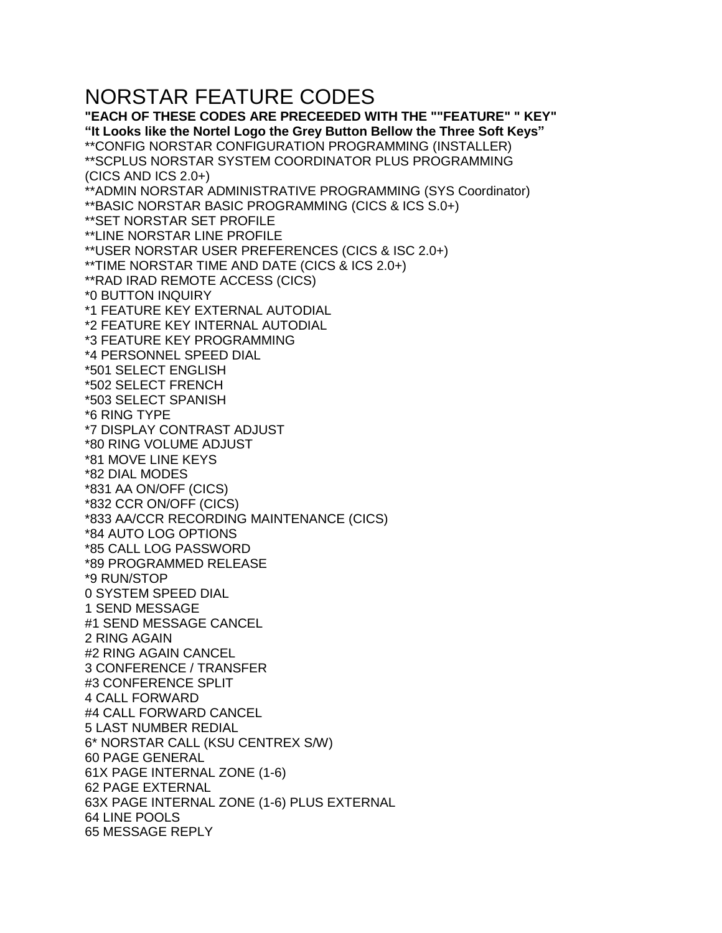## NORSTAR FEATURE CODES

**"EACH OF THESE CODES ARE PRECEEDED WITH THE ""FEATURE" " KEY" "It Looks like the Nortel Logo the Grey Button Bellow the Three Soft Keys"** \*\*CONFIG NORSTAR CONFIGURATION PROGRAMMING (INSTALLER) \*\*SCPLUS NORSTAR SYSTEM COORDINATOR PLUS PROGRAMMING (CICS AND ICS 2.0+) \*\*ADMIN NORSTAR ADMINISTRATIVE PROGRAMMING (SYS Coordinator) \*\*BASIC NORSTAR BASIC PROGRAMMING (CICS & ICS S.0+) \*\*SET NORSTAR SET PROFILE \*\*LINE NORSTAR LINE PROFILE \*\*USER NORSTAR USER PREFERENCES (CICS & ISC 2.0+) \*\*TIME NORSTAR TIME AND DATE (CICS & ICS 2.0+) \*\*RAD IRAD REMOTE ACCESS (CICS) \*0 BUTTON INQUIRY \*1 FEATURE KEY EXTERNAL AUTODIAL \*2 FEATURE KEY INTERNAL AUTODIAL \*3 FEATURE KEY PROGRAMMING \*4 PERSONNEL SPEED DIAL \*501 SELECT ENGLISH \*502 SELECT FRENCH \*503 SELECT SPANISH \*6 RING TYPE \*7 DISPLAY CONTRAST ADJUST \*80 RING VOLUME ADJUST \*81 MOVE LINE KEYS \*82 DIAL MODES \*831 AA ON/OFF (CICS) \*832 CCR ON/OFF (CICS) \*833 AA/CCR RECORDING MAINTENANCE (CICS) \*84 AUTO LOG OPTIONS \*85 CALL LOG PASSWORD \*89 PROGRAMMED RELEASE \*9 RUN/STOP 0 SYSTEM SPEED DIAL 1 SEND MESSAGE #1 SEND MESSAGE CANCEL 2 RING AGAIN #2 RING AGAIN CANCEL 3 CONFERENCE / TRANSFER #3 CONFERENCE SPLIT 4 CALL FORWARD #4 CALL FORWARD CANCEL 5 LAST NUMBER REDIAL 6\* NORSTAR CALL (KSU CENTREX S/W) 60 PAGE GENERAL 61X PAGE INTERNAL ZONE (1-6) 62 PAGE EXTERNAL 63X PAGE INTERNAL ZONE (1-6) PLUS EXTERNAL 64 LINE POOLS 65 MESSAGE REPLY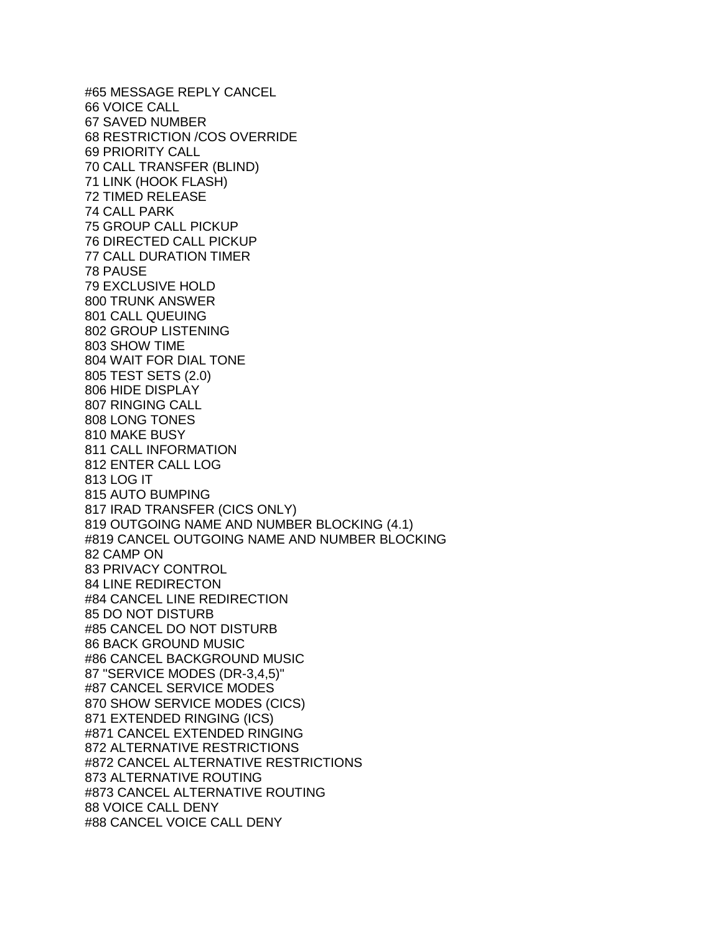#65 MESSAGE REPLY CANCEL 66 VOICE CALL 67 SAVED NUMBER 68 RESTRICTION /COS OVERRIDE 69 PRIORITY CALL 70 CALL TRANSFER (BLIND) 71 LINK (HOOK FLASH) 72 TIMED RELEASE 74 CALL PARK 75 GROUP CALL PICKUP 76 DIRECTED CALL PICKUP 77 CALL DURATION TIMER 78 PAUSE 79 EXCLUSIVE HOLD 800 TRUNK ANSWER 801 CALL QUEUING 802 GROUP LISTENING 803 SHOW TIME 804 WAIT FOR DIAL TONE 805 TEST SETS (2.0) 806 HIDE DISPLAY 807 RINGING CALL 808 LONG TONES 810 MAKE BUSY 811 CALL INFORMATION 812 ENTER CALL LOG 813 LOG IT 815 AUTO BUMPING 817 IRAD TRANSFER (CICS ONLY) 819 OUTGOING NAME AND NUMBER BLOCKING (4.1) #819 CANCEL OUTGOING NAME AND NUMBER BLOCKING 82 CAMP ON 83 PRIVACY CONTROL 84 LINE REDIRECTON #84 CANCEL LINE REDIRECTION 85 DO NOT DISTURB #85 CANCEL DO NOT DISTURB 86 BACK GROUND MUSIC #86 CANCEL BACKGROUND MUSIC 87 "SERVICE MODES (DR-3,4,5)" #87 CANCEL SERVICE MODES 870 SHOW SERVICE MODES (CICS) 871 EXTENDED RINGING (ICS) #871 CANCEL EXTENDED RINGING 872 ALTERNATIVE RESTRICTIONS #872 CANCEL ALTERNATIVE RESTRICTIONS 873 ALTERNATIVE ROUTING #873 CANCEL ALTERNATIVE ROUTING 88 VOICE CALL DENY #88 CANCEL VOICE CALL DENY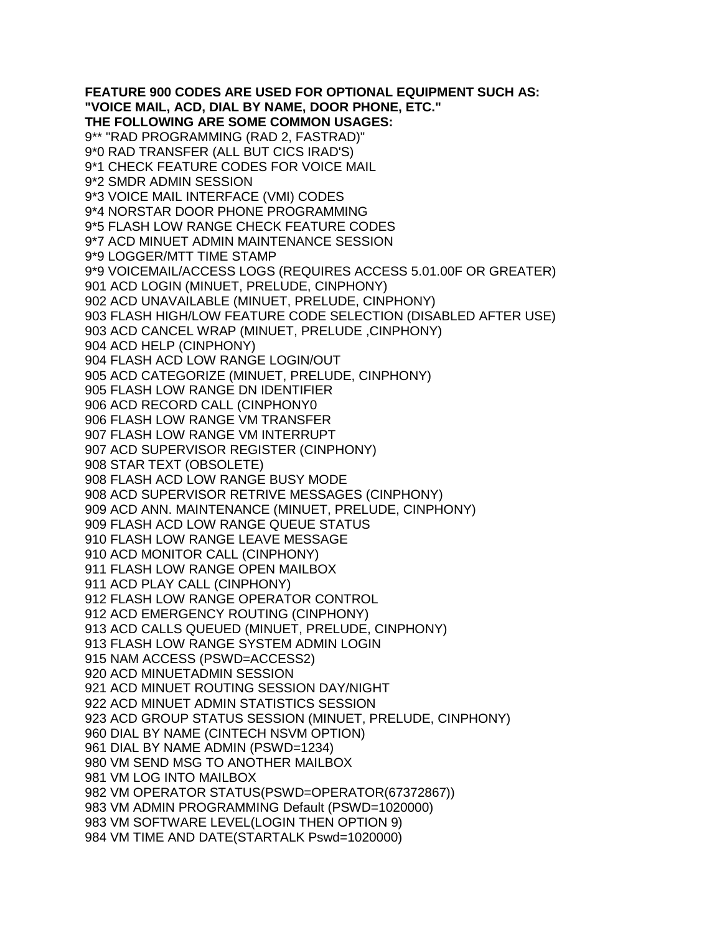**FEATURE 900 CODES ARE USED FOR OPTIONAL EQUIPMENT SUCH AS: "VOICE MAIL, ACD, DIAL BY NAME, DOOR PHONE, ETC." THE FOLLOWING ARE SOME COMMON USAGES:** 9\*\* "RAD PROGRAMMING (RAD 2, FASTRAD)" 9\*0 RAD TRANSFER (ALL BUT CICS IRAD'S) 9\*1 CHECK FEATURE CODES FOR VOICE MAIL 9\*2 SMDR ADMIN SESSION 9\*3 VOICE MAIL INTERFACE (VMI) CODES 9\*4 NORSTAR DOOR PHONE PROGRAMMING 9\*5 FLASH LOW RANGE CHECK FEATURE CODES 9\*7 ACD MINUET ADMIN MAINTENANCE SESSION 9\*9 LOGGER/MTT TIME STAMP 9\*9 VOICEMAIL/ACCESS LOGS (REQUIRES ACCESS 5.01.00F OR GREATER) 901 ACD LOGIN (MINUET, PRELUDE, CINPHONY) 902 ACD UNAVAILABLE (MINUET, PRELUDE, CINPHONY) 903 FLASH HIGH/LOW FEATURE CODE SELECTION (DISABLED AFTER USE) 903 ACD CANCEL WRAP (MINUET, PRELUDE ,CINPHONY) 904 ACD HELP (CINPHONY) 904 FLASH ACD LOW RANGE LOGIN/OUT 905 ACD CATEGORIZE (MINUET, PRELUDE, CINPHONY) 905 FLASH LOW RANGE DN IDENTIFIER 906 ACD RECORD CALL (CINPHONY0 906 FLASH LOW RANGE VM TRANSFER 907 FLASH LOW RANGE VM INTERRUPT 907 ACD SUPERVISOR REGISTER (CINPHONY) 908 STAR TEXT (OBSOLETE) 908 FLASH ACD LOW RANGE BUSY MODE 908 ACD SUPERVISOR RETRIVE MESSAGES (CINPHONY) 909 ACD ANN. MAINTENANCE (MINUET, PRELUDE, CINPHONY) 909 FLASH ACD LOW RANGE QUEUE STATUS 910 FLASH LOW RANGE LEAVE MESSAGE 910 ACD MONITOR CALL (CINPHONY) 911 FLASH LOW RANGE OPEN MAILBOX 911 ACD PLAY CALL (CINPHONY) 912 FLASH LOW RANGE OPERATOR CONTROL 912 ACD EMERGENCY ROUTING (CINPHONY) 913 ACD CALLS QUEUED (MINUET, PRELUDE, CINPHONY) 913 FLASH LOW RANGE SYSTEM ADMIN LOGIN 915 NAM ACCESS (PSWD=ACCESS2) 920 ACD MINUETADMIN SESSION 921 ACD MINUET ROUTING SESSION DAY/NIGHT 922 ACD MINUET ADMIN STATISTICS SESSION 923 ACD GROUP STATUS SESSION (MINUET, PRELUDE, CINPHONY) 960 DIAL BY NAME (CINTECH NSVM OPTION) 961 DIAL BY NAME ADMIN (PSWD=1234) 980 VM SEND MSG TO ANOTHER MAILBOX 981 VM LOG INTO MAILBOX 982 VM OPERATOR STATUS(PSWD=OPERATOR(67372867)) 983 VM ADMIN PROGRAMMING Default (PSWD=1020000) 983 VM SOFTWARE LEVEL(LOGIN THEN OPTION 9) 984 VM TIME AND DATE(STARTALK Pswd=1020000)